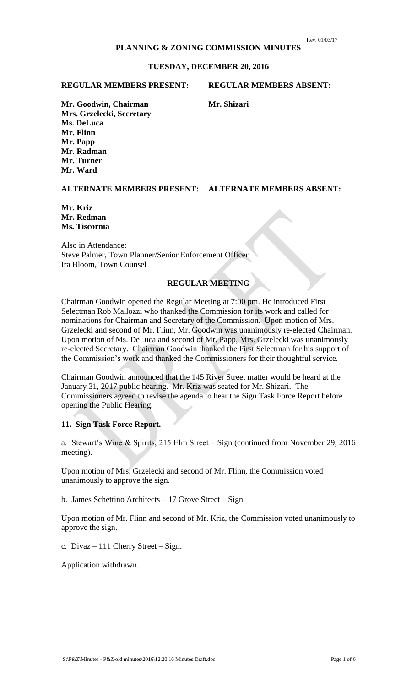## **PLANNING & ZONING COMMISSION MINUTES**

#### **TUESDAY, DECEMBER 20, 2016**

#### **REGULAR MEMBERS PRESENT: REGULAR MEMBERS ABSENT:**

**Mr. Goodwin, Chairman Mr. Shizari Mrs. Grzelecki, Secretary Ms. DeLuca Mr. Flinn Mr. Papp Mr. Radman Mr. Turner Mr. Ward**

**ALTERNATE MEMBERS PRESENT: ALTERNATE MEMBERS ABSENT:**

**Mr. Kriz Mr. Redman Ms. Tiscornia**

Also in Attendance: Steve Palmer, Town Planner/Senior Enforcement Officer Ira Bloom, Town Counsel

# **REGULAR MEETING**

Chairman Goodwin opened the Regular Meeting at 7:00 pm. He introduced First Selectman Rob Mallozzi who thanked the Commission for its work and called for nominations for Chairman and Secretary of the Commission. Upon motion of Mrs. Grzelecki and second of Mr. Flinn, Mr. Goodwin was unanimously re-elected Chairman. Upon motion of Ms. DeLuca and second of Mr. Papp, Mrs. Grzelecki was unanimously re-elected Secretary. Chairman Goodwin thanked the First Selectman for his support of the Commission's work and thanked the Commissioners for their thoughtful service.

Chairman Goodwin announced that the 145 River Street matter would be heard at the January 31, 2017 public hearing. Mr. Kriz was seated for Mr. Shizari. The Commissioners agreed to revise the agenda to hear the Sign Task Force Report before opening the Public Hearing.

#### **11. Sign Task Force Report.**

a. Stewart's Wine & Spirits, 215 Elm Street – Sign (continued from November 29, 2016 meeting).

Upon motion of Mrs. Grzelecki and second of Mr. Flinn, the Commission voted unanimously to approve the sign.

b. James Schettino Architects – 17 Grove Street – Sign.

Upon motion of Mr. Flinn and second of Mr. Kriz, the Commission voted unanimously to approve the sign.

c. Divaz – 111 Cherry Street – Sign.

Application withdrawn.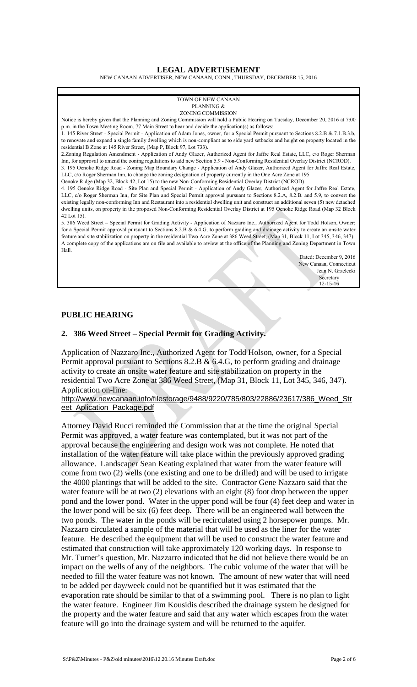#### **LEGAL ADVERTISEMENT**

NEW CANAAN ADVERTISER, NEW CANAAN, CONN., THURSDAY, DECEMBER 15, 2016

#### TOWN OF NEW CANAAN PLANNING & ZONING COMMISSION Notice is hereby given that the Planning and Zoning Commission will hold a Public Hearing on Tuesday, December 20, 2016 at 7:00 p.m. in the Town Meeting Room, 77 Main Street to hear and decide the application(s) as follows: 1. 145 River Street - Special Permit - Application of Adam Jones, owner, for a Special Permit pursuant to Sections 8.2.B & 7.1.B.3.b, to renovate and expand a single family dwelling which is non-compliant as to side yard setbacks and height on property located in the residential B Zone at 145 River Street, (Map P, Block 97, Lot 733). 2.Zoning Regulation Amendment - Application of Andy Glazer, Authorized Agent for Jaffre Real Estate, LLC, c/o Roger Sherman Inn, for approval to amend the zoning regulations to add new Section 5.9 - Non-Conforming Residential Overlay District (NCROD). 3. 195 Oenoke Ridge Road - Zoning Map Boundary Change - Application of Andy Glazer, Authorized Agent for Jaffre Real Estate, LLC, c/o Roger Sherman Inn, to change the zoning designation of property currently in the One Acre Zone at 195 Oenoke Ridge (Map 32, Block 42, Lot 15) to the new Non-Conforming Residential Overlay District (NCROD). 4. 195 Oenoke Ridge Road - Site Plan and Special Permit - Application of Andy Glazer, Authorized Agent for Jaffre Real Estate, LLC, c/o Roger Sherman Inn, for Site Plan and Special Permit approval pursuant to Sections 8.2.A, 8.2.B. and 5.9, to convert the existing legally non-conforming Inn and Restaurant into a residential dwelling unit and construct an additional seven (5) new detached dwelling units, on property in the proposed Non-Conforming Residential Overlay District at 195 Oenoke Ridge Road (Map 32 Block 42 Lot 15). 5. 386 Weed Street – Special Permit for Grading Activity - Application of Nazzaro Inc., Authorized Agent for Todd Holson, Owner; for a Special Permit approval pursuant to Sections  $8.2.B & 6.4.G$ , to perform grading and drainage activity to create an onsite water feature and site stabilization on property in the residential Two Acre Zone at 386 Weed Street, (Map 31, Block 11, Lot 345, 346, 347). A complete copy of the applications are on file and available to review at the office of the Planning and Zoning Department in Town Hall. Dated: December 9, 2016 New Canaan, Connecticut

Jean N. Grzelecki Secretary Secretary 3. The Secretary Secretary 3. The Secretary 3. The Secretary 3. The Secretary 3. The Secretary 3. The Secretary 3. The Secretary 3. The Secretary 3. The Secretary 3. The Secretary 3. The Secretary 3. Th 12-15-16

### **PUBLIC HEARING**

#### **2. 386 Weed Street – Special Permit for Grading Activity.**

Application of Nazzaro Inc., Authorized Agent for Todd Holson, owner, for a Special Permit approval pursuant to Sections 8.2.B &  $6.4$ .G, to perform grading and drainage activity to create an onsite water feature and site stabilization on property in the residential Two Acre Zone at 386 Weed Street, (Map 31, Block 11, Lot 345, 346, 347). Application on-line:

[http://www.newcanaan.info/filestorage/9488/9220/785/803/22886/23617/386\\_Weed\\_Str](http://www.newcanaan.info/filestorage/9488/9220/785/803/22886/23617/386_Weed_Street_Aplication_Package.pdf) [eet\\_Aplication\\_Package.pdf](http://www.newcanaan.info/filestorage/9488/9220/785/803/22886/23617/386_Weed_Street_Aplication_Package.pdf)

Attorney David Rucci reminded the Commission that at the time the original Special Permit was approved, a water feature was contemplated, but it was not part of the approval because the engineering and design work was not complete. He noted that installation of the water feature will take place within the previously approved grading allowance. Landscaper Sean Keating explained that water from the water feature will come from two (2) wells (one existing and one to be drilled) and will be used to irrigate the 4000 plantings that will be added to the site. Contractor Gene Nazzaro said that the water feature will be at two (2) elevations with an eight (8) foot drop between the upper pond and the lower pond. Water in the upper pond will be four (4) feet deep and water in the lower pond will be six (6) feet deep. There will be an engineered wall between the two ponds. The water in the ponds will be recirculated using 2 horsepower pumps. Mr. Nazzaro circulated a sample of the material that will be used as the liner for the water feature. He described the equipment that will be used to construct the water feature and estimated that construction will take approximately 120 working days. In response to Mr. Turner's question, Mr. Nazzarro indicated that he did not believe there would be an impact on the wells of any of the neighbors. The cubic volume of the water that will be needed to fill the water feature was not known. The amount of new water that will need to be added per day/week could not be quantified but it was estimated that the evaporation rate should be similar to that of a swimming pool. There is no plan to light the water feature. Engineer Jim Kousidis described the drainage system he designed for the property and the water feature and said that any water which escapes from the water feature will go into the drainage system and will be returned to the aquifer.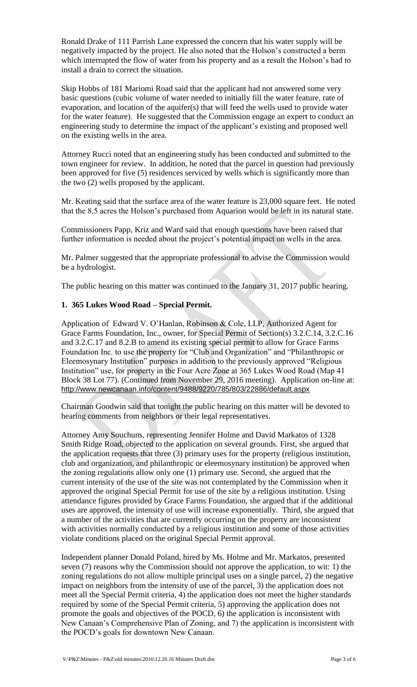Ronald Drake of 111 Parrish Lane expressed the concern that his water supply will be negatively impacted by the project. He also noted that the Holson's constructed a berm which interrupted the flow of water from his property and as a result the Holson's had to install a drain to correct the situation.

Skip Hobbs of 181 Mariomi Road said that the applicant had not answered some very basic questions (cubic volume of water needed to initially fill the water feature, rate of evaporation, and location of the aquifer(s) that will feed the wells used to provide water for the water feature). He suggested that the Commission engage an expert to conduct an engineering study to determine the impact of the applicant's existing and proposed well on the existing wells in the area.

Attorney Rucci noted that an engineering study has been conducted and submitted to the town engineer for review. In addition, he noted that the parcel in question had previously been approved for five (5) residences serviced by wells which is significantly more than the two (2) wells proposed by the applicant.

Mr. Keating said that the surface area of the water feature is 23,000 square feet. He noted that the 8.5 acres the Holson's purchased from Aquarion would be left in its natural state.

Commissioners Papp, Kriz and Ward said that enough questions have been raised that further information is needed about the project's potential impact on wells in the area.

Mr. Palmer suggested that the appropriate professional to advise the Commission would be a hydrologist.

The public hearing on this matter was continued to the January 31, 2017 public hearing.

# **1. 365 Lukes Wood Road – Special Permit.**

Application of Edward V. O'Hanlan, Robinson & Cole, LLP, Authorized Agent for Grace Farms Foundation, Inc., owner, for Special Permit of Section(s) 3.2.C.14, 3.2.C.16 and 3.2.C.17 and 8.2.B to amend its existing special permit to allow for Grace Farms Foundation Inc. to use the property for "Club and Organization" and "Philanthropic or Eleemosynary Institution" purposes in addition to the previously approved "Religious Institution" use, for property in the Four Acre Zone at 365 Lukes Wood Road (Map 41 Block 38 Lot 77). (Continued from November 29, 2016 meeting). Application on-line at: <http://www.newcanaan.info/content/9488/9220/785/803/22886/default.aspx>

Chairman Goodwin said that tonight the public hearing on this matter will be devoted to hearing comments from neighbors or their legal representatives.

Attorney Amy Souchuns, representing Jennifer Holme and David Markatos of 1328 Smith Ridge Road, objected to the application on several grounds. First, she argued that the application requests that three (3) primary uses for the property (religious institution, club and organization, and philanthropic or eleemosynary institution) be approved when the zoning regulations allow only one (1) primary use. Second, she argued that the current intensity of the use of the site was not contemplated by the Commission when it approved the original Special Permit for use of the site by a religious institution. Using attendance figures provided by Grace Farms Foundation, she argued that if the additional uses are approved, the intensity of use will increase exponentially. Third, she argued that a number of the activities that are currently occurring on the property are inconsistent with activities normally conducted by a religious institution and some of those activities violate conditions placed on the original Special Permit approval.

Independent planner Donald Poland, hired by Ms. Holme and Mr. Markatos, presented seven (7) reasons why the Commission should not approve the application, to wit: 1) the zoning regulations do not allow multiple principal uses on a single parcel, 2) the negative impact on neighbors from the intensity of use of the parcel, 3) the application does not meet all the Special Permit criteria, 4) the application does not meet the higher standards required by some of the Special Permit criteria, 5) approving the application does not promote the goals and objectives of the POCD, 6) the application is inconsistent with New Canaan's Comprehensive Plan of Zoning, and 7) the application is inconsistent with the POCD's goals for downtown New Canaan.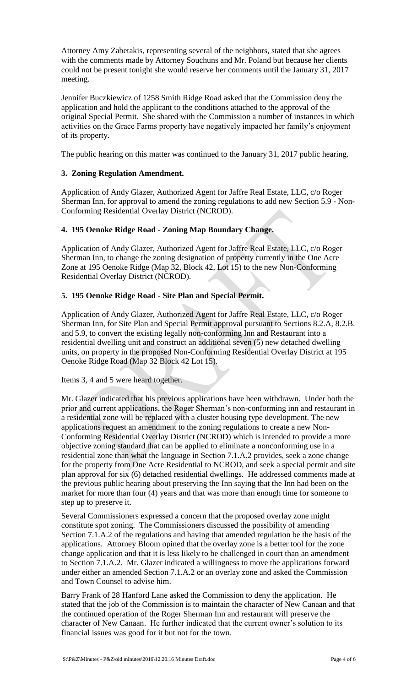Attorney Amy Zabetakis, representing several of the neighbors, stated that she agrees with the comments made by Attorney Souchuns and Mr. Poland but because her clients could not be present tonight she would reserve her comments until the January 31, 2017 meeting.

Jennifer Buczkiewicz of 1258 Smith Ridge Road asked that the Commission deny the application and hold the applicant to the conditions attached to the approval of the original Special Permit. She shared with the Commission a number of instances in which activities on the Grace Farms property have negatively impacted her family's enjoyment of its property.

The public hearing on this matter was continued to the January 31, 2017 public hearing.

# **3. Zoning Regulation Amendment.**

Application of Andy Glazer, Authorized Agent for Jaffre Real Estate, LLC, c/o Roger Sherman Inn, for approval to amend the zoning regulations to add new Section 5.9 - Non-Conforming Residential Overlay District (NCROD).

# **4. 195 Oenoke Ridge Road - Zoning Map Boundary Change.**

Application of Andy Glazer, Authorized Agent for Jaffre Real Estate, LLC, c/o Roger Sherman Inn, to change the zoning designation of property currently in the One Acre Zone at 195 Oenoke Ridge (Map 32, Block 42, Lot 15) to the new Non-Conforming Residential Overlay District (NCROD).

# **5. 195 Oenoke Ridge Road - Site Plan and Special Permit.**

Application of Andy Glazer, Authorized Agent for Jaffre Real Estate, LLC, c/o Roger Sherman Inn, for Site Plan and Special Permit approval pursuant to Sections 8.2.A, 8.2.B. and 5.9, to convert the existing legally non-conforming Inn and Restaurant into a residential dwelling unit and construct an additional seven (5) new detached dwelling units, on property in the proposed Non-Conforming Residential Overlay District at 195 Oenoke Ridge Road (Map 32 Block 42 Lot 15).

# Items 3, 4 and 5 were heard together.

Mr. Glazer indicated that his previous applications have been withdrawn. Under both the prior and current applications, the Roger Sherman's non-conforming inn and restaurant in a residential zone will be replaced with a cluster housing type development. The new applications request an amendment to the zoning regulations to create a new Non-Conforming Residential Overlay District (NCROD) which is intended to provide a more objective zoning standard that can be applied to eliminate a nonconforming use in a residential zone than what the language in Section 7.1.A.2 provides, seek a zone change for the property from One Acre Residential to NCROD, and seek a special permit and site plan approval for six (6) detached residential dwellings. He addressed comments made at the previous public hearing about preserving the Inn saying that the Inn had been on the market for more than four (4) years and that was more than enough time for someone to step up to preserve it.

Several Commissioners expressed a concern that the proposed overlay zone might constitute spot zoning. The Commissioners discussed the possibility of amending Section 7.1.A.2 of the regulations and having that amended regulation be the basis of the applications. Attorney Bloom opined that the overlay zone is a better tool for the zone change application and that it is less likely to be challenged in court than an amendment to Section 7.1.A.2. Mr. Glazer indicated a willingness to move the applications forward under either an amended Section 7.1.A.2 or an overlay zone and asked the Commission and Town Counsel to advise him.

Barry Frank of 28 Hanford Lane asked the Commission to deny the application. He stated that the job of the Commission is to maintain the character of New Canaan and that the continued operation of the Roger Sherman Inn and restaurant will preserve the character of New Canaan. He further indicated that the current owner's solution to its financial issues was good for it but not for the town.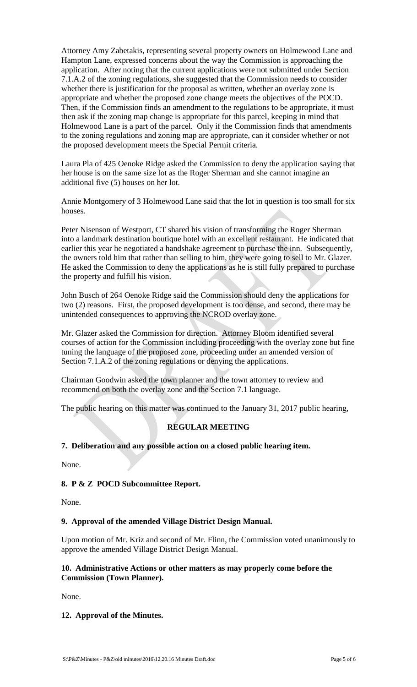Attorney Amy Zabetakis, representing several property owners on Holmewood Lane and Hampton Lane, expressed concerns about the way the Commission is approaching the application. After noting that the current applications were not submitted under Section 7.1.A.2 of the zoning regulations, she suggested that the Commission needs to consider whether there is justification for the proposal as written, whether an overlay zone is appropriate and whether the proposed zone change meets the objectives of the POCD. Then, if the Commission finds an amendment to the regulations to be appropriate, it must then ask if the zoning map change is appropriate for this parcel, keeping in mind that Holmewood Lane is a part of the parcel. Only if the Commission finds that amendments to the zoning regulations and zoning map are appropriate, can it consider whether or not the proposed development meets the Special Permit criteria.

Laura Pla of 425 Oenoke Ridge asked the Commission to deny the application saying that her house is on the same size lot as the Roger Sherman and she cannot imagine an additional five (5) houses on her lot.

Annie Montgomery of 3 Holmewood Lane said that the lot in question is too small for six houses.

Peter Nisenson of Westport, CT shared his vision of transforming the Roger Sherman into a landmark destination boutique hotel with an excellent restaurant. He indicated that earlier this year he negotiated a handshake agreement to purchase the inn. Subsequently, the owners told him that rather than selling to him, they were going to sell to Mr. Glazer. He asked the Commission to deny the applications as he is still fully prepared to purchase the property and fulfill his vision.

John Busch of 264 Oenoke Ridge said the Commission should deny the applications for two (2) reasons. First, the proposed development is too dense, and second, there may be unintended consequences to approving the NCROD overlay zone.

Mr. Glazer asked the Commission for direction. Attorney Bloom identified several courses of action for the Commission including proceeding with the overlay zone but fine tuning the language of the proposed zone, proceeding under an amended version of Section 7.1.A.2 of the zoning regulations or denying the applications.

Chairman Goodwin asked the town planner and the town attorney to review and recommend on both the overlay zone and the Section 7.1 language.

The public hearing on this matter was continued to the January 31, 2017 public hearing,

# **REGULAR MEETING**

# **7. Deliberation and any possible action on a closed public hearing item.**

None.

# **8. P & Z POCD Subcommittee Report.**

None.

# **9. Approval of the amended Village District Design Manual.**

Upon motion of Mr. Kriz and second of Mr. Flinn, the Commission voted unanimously to approve the amended Village District Design Manual.

# **10. Administrative Actions or other matters as may properly come before the Commission (Town Planner).**

None.

# **12. Approval of the Minutes.**